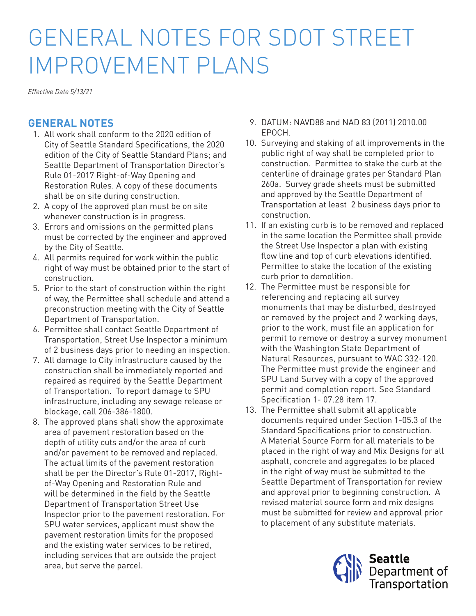## GENERAL NOTES FOR SDOT STREET IMPROVEMENT PLANS

*Effective Date 5/13/21*

## **GENERAL NOTES**

- 1. All work shall conform to the 2020 edition of City of Seattle Standard Specifications, the 2020 edition of the City of Seattle Standard Plans; and Seattle Department of Transportation Director's Rule 01-2017 Right-of-Way Opening and Restoration Rules. A copy of these documents shall be on site during construction.
- 2. A copy of the approved plan must be on site whenever construction is in progress.
- 3. Errors and omissions on the permitted plans must be corrected by the engineer and approved by the City of Seattle.
- 4. All permits required for work within the public right of way must be obtained prior to the start of construction.
- 5. Prior to the start of construction within the right of way, the Permittee shall schedule and attend a preconstruction meeting with the City of Seattle Department of Transportation.
- 6. Permittee shall contact Seattle Department of Transportation, Street Use Inspector a minimum of 2 business days prior to needing an inspection.
- 7. All damage to City infrastructure caused by the construction shall be immediately reported and repaired as required by the Seattle Department of Transportation. To report damage to SPU infrastructure, including any sewage release or blockage, call 206-386-1800.
- 8. The approved plans shall show the approximate area of pavement restoration based on the depth of utility cuts and/or the area of curb and/or pavement to be removed and replaced. The actual limits of the pavement restoration shall be per the Director's Rule 01-2017, Rightof-Way Opening and Restoration Rule and will be determined in the field by the Seattle Department of Transportation Street Use Inspector prior to the pavement restoration. For SPU water services, applicant must show the pavement restoration limits for the proposed and the existing water services to be retired, including services that are outside the project area, but serve the parcel.
- 9. DATUM: NAVD88 and NAD 83 (2011) 2010.00 EPOCH.
- 10. Surveying and staking of all improvements in the public right of way shall be completed prior to construction. Permittee to stake the curb at the centerline of drainage grates per Standard Plan 260a. Survey grade sheets must be submitted and approved by the Seattle Department of Transportation at least 2 business days prior to construction.
- 11. If an existing curb is to be removed and replaced in the same location the Permittee shall provide the Street Use Inspector a plan with existing flow line and top of curb elevations identified. Permittee to stake the location of the existing curb prior to demolition.
- 12. The Permittee must be responsible for referencing and replacing all survey monuments that may be disturbed, destroyed or removed by the project and 2 working days, prior to the work, must file an application for permit to remove or destroy a survey monument with the Washington State Department of Natural Resources, pursuant to WAC 332-120. The Permittee must provide the engineer and SPU Land Survey with a copy of the approved permit and completion report. See Standard Specification 1- 07.28 item 17.
- 13. The Permittee shall submit all applicable documents required under Section 1-05.3 of the Standard Specifications prior to construction. A Material Source Form for all materials to be placed in the right of way and Mix Designs for all asphalt, concrete and aggregates to be placed in the right of way must be submitted to the Seattle Department of Transportation for review and approval prior to beginning construction. A revised material source form and mix designs must be submitted for review and approval prior to placement of any substitute materials.